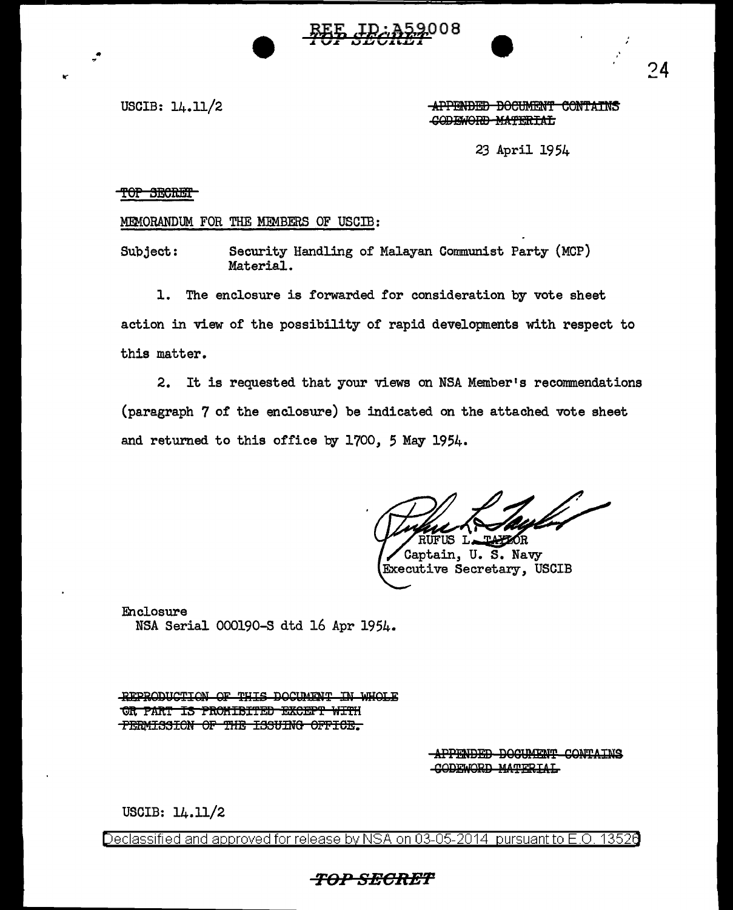BEE JD: 352008

USCIB:  $14.11/2$ 

**APPENDED DOCUMENT CONTAINS** CODEWORD MATERIAL

23 April 1954

## TOP SECRET

MEMORANDUM FOR THE MEMBERS OF USCIB:

Security Handling of Malayan Communist Party (MCP) Subject: Material.

1. The enclosure is forwarded for consideration by vote sheet action in view of the possibility of rapid developments with respect to this matter.

2. It is requested that your views on NSA Member's recommendations (paragraph 7 of the enclosure) be indicated on the attached vote sheet and returned to this office by 1700, 5 May 1954.

RUFUS L. **TAYZOR** 

Captain, U. S. Navy Executive Secretary, USCIB

Enclosure NSA Serial 000190-S dtd 16 Apr 1954.

REPRODUCTION OF THIS DOCUMENT IN WHOLE OR PART IS PROMIBITED EXCEPT WITH PERMISSION OF THE ISSUING OFFICE.

> APPENDED DOCUMENT CONTAINS **GODEWORD MATERIAL**

USCIB: 14.11/2

Declassified and approved for release by NSA on 03-05-2014  $\,$  pursuant to E.O. 13526

## *TOP SECRET*

 $74$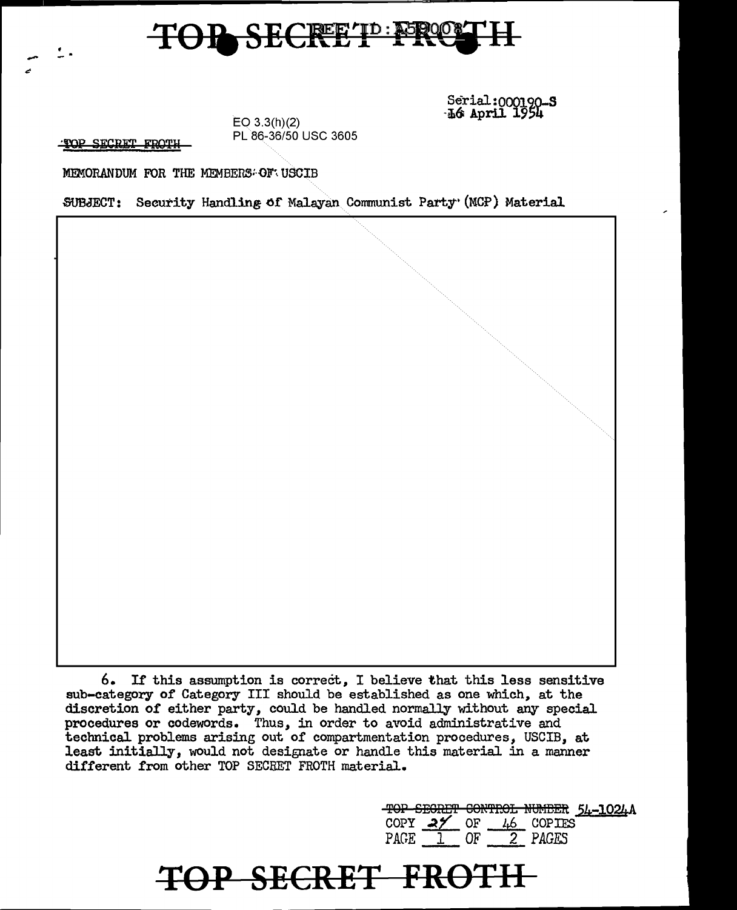## TOP SECRET PRO

Serial:000190-S ·i6' April 1954

TOP SECRET FROTH

-<br>-<br>"

EO 3.3(h)(2) PL 86-36/50 USC 3605

MEMORANDUM FOR THE MEMBERS: OF USCIB

SUBJECT: Security Handling of Malayan Communist Party• (MCP) Material

6. Ir this assumption is correcit, I believe that this less sensitive sub-category of Category III should be established as one which, at the discretion of either party, could be handled normally without any special procedures or codewords. Thus, in order to avoid administrative and technical problems arising out of compartmentation procedures, USCIB, at least initially, would not designate or handle this material in a manner different from other TOP SECRET FROTH material.

**'f()P SEERE'F FRS'f 11** 

TOP SEGRET CONTROL NUMBER 54-1024A COPY  $25$  OF  $1.6$  COPIES PAGE 1 OF 2 *PAGES*